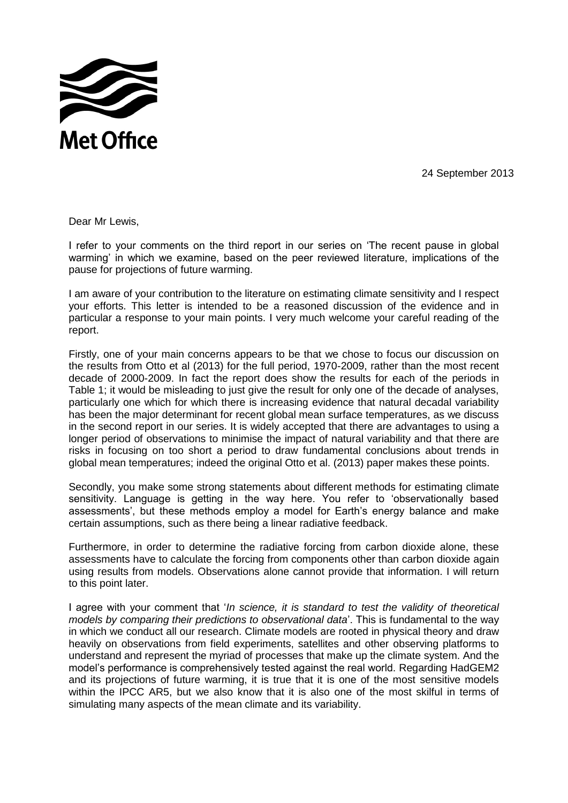

24 September 2013

Dear Mr Lewis,

I refer to your comments on the third report in our series on "The recent pause in global warming" in which we examine, based on the peer reviewed literature, implications of the pause for projections of future warming.

I am aware of your contribution to the literature on estimating climate sensitivity and I respect your efforts. This letter is intended to be a reasoned discussion of the evidence and in particular a response to your main points. I very much welcome your careful reading of the report.

Firstly, one of your main concerns appears to be that we chose to focus our discussion on the results from Otto et al (2013) for the full period, 1970-2009, rather than the most recent decade of 2000-2009. In fact the report does show the results for each of the periods in Table 1; it would be misleading to just give the result for only one of the decade of analyses, particularly one which for which there is increasing evidence that natural decadal variability has been the major determinant for recent global mean surface temperatures, as we discuss in the second report in our series. It is widely accepted that there are advantages to using a longer period of observations to minimise the impact of natural variability and that there are risks in focusing on too short a period to draw fundamental conclusions about trends in global mean temperatures; indeed the original Otto et al. (2013) paper makes these points.

Secondly, you make some strong statements about different methods for estimating climate sensitivity. Language is getting in the way here. You refer to "observationally based assessments', but these methods employ a model for Earth's energy balance and make certain assumptions, such as there being a linear radiative feedback.

Furthermore, in order to determine the radiative forcing from carbon dioxide alone, these assessments have to calculate the forcing from components other than carbon dioxide again using results from models. Observations alone cannot provide that information. I will return to this point later.

I agree with your comment that "*In science, it is standard to test the validity of theoretical models by comparing their predictions to observational data*'. This is fundamental to the way in which we conduct all our research. Climate models are rooted in physical theory and draw heavily on observations from field experiments, satellites and other observing platforms to understand and represent the myriad of processes that make up the climate system. And the model"s performance is comprehensively tested against the real world. Regarding HadGEM2 and its projections of future warming, it is true that it is one of the most sensitive models within the IPCC AR5, but we also know that it is also one of the most skilful in terms of simulating many aspects of the mean climate and its variability.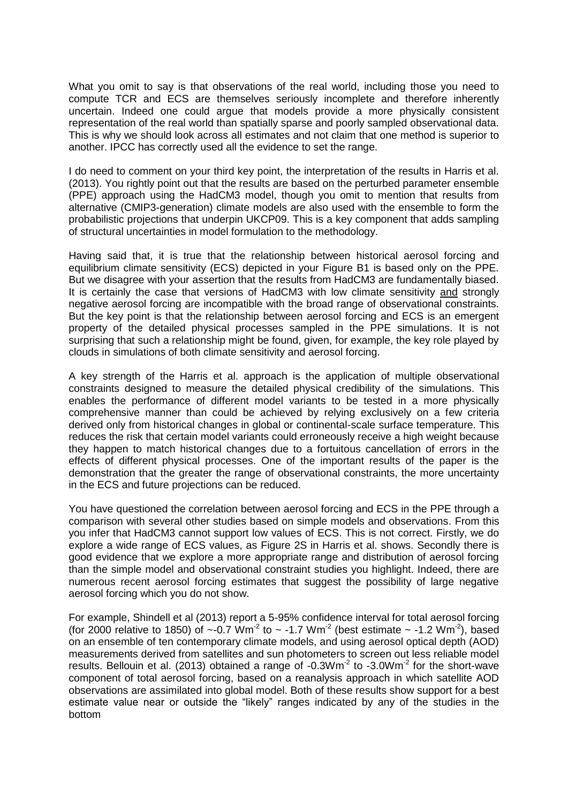What you omit to say is that observations of the real world, including those you need to compute TCR and ECS are themselves seriously incomplete and therefore inherently uncertain. Indeed one could argue that models provide a more physically consistent representation of the real world than spatially sparse and poorly sampled observational data. This is why we should look across all estimates and not claim that one method is superior to another. IPCC has correctly used all the evidence to set the range.

I do need to comment on your third key point, the interpretation of the results in Harris et al. (2013). You rightly point out that the results are based on the perturbed parameter ensemble (PPE) approach using the HadCM3 model, though you omit to mention that results from alternative (CMIP3-generation) climate models are also used with the ensemble to form the probabilistic projections that underpin UKCP09. This is a key component that adds sampling of structural uncertainties in model formulation to the methodology.

Having said that, it is true that the relationship between historical aerosol forcing and equilibrium climate sensitivity (ECS) depicted in your Figure B1 is based only on the PPE. But we disagree with your assertion that the results from HadCM3 are fundamentally biased. It is certainly the case that versions of HadCM3 with low climate sensitivity and strongly negative aerosol forcing are incompatible with the broad range of observational constraints. But the key point is that the relationship between aerosol forcing and ECS is an emergent property of the detailed physical processes sampled in the PPE simulations. It is not surprising that such a relationship might be found, given, for example, the key role played by clouds in simulations of both climate sensitivity and aerosol forcing.

A key strength of the Harris et al. approach is the application of multiple observational constraints designed to measure the detailed physical credibility of the simulations. This enables the performance of different model variants to be tested in a more physically comprehensive manner than could be achieved by relying exclusively on a few criteria derived only from historical changes in global or continental-scale surface temperature. This reduces the risk that certain model variants could erroneously receive a high weight because they happen to match historical changes due to a fortuitous cancellation of errors in the effects of different physical processes. One of the important results of the paper is the demonstration that the greater the range of observational constraints, the more uncertainty in the ECS and future projections can be reduced.

You have questioned the correlation between aerosol forcing and ECS in the PPE through a comparison with several other studies based on simple models and observations. From this you infer that HadCM3 cannot support low values of ECS. This is not correct. Firstly, we do explore a wide range of ECS values, as Figure 2S in Harris et al. shows. Secondly there is good evidence that we explore a more appropriate range and distribution of aerosol forcing than the simple model and observational constraint studies you highlight. Indeed, there are numerous recent aerosol forcing estimates that suggest the possibility of large negative aerosol forcing which you do not show.

For example, Shindell et al (2013) report a 5-95% confidence interval for total aerosol forcing (for 2000 relative to 1850) of  $\sim$ -0.7 Wm<sup>-2</sup> to  $\sim$  -1.7 Wm<sup>-2</sup> (best estimate  $\sim$  -1.2 Wm<sup>-2</sup>), based on an ensemble of ten contemporary climate models, and using aerosol optical depth (AOD) measurements derived from satellites and sun photometers to screen out less reliable model results. Bellouin et al. (2013) obtained a range of  $-0.3Wm<sup>-2</sup>$  to  $-3.0Wm<sup>-2</sup>$  for the short-wave component of total aerosol forcing, based on a reanalysis approach in which satellite AOD observations are assimilated into global model. Both of these results show support for a best estimate value near or outside the "likely" ranges indicated by any of the studies in the bottom